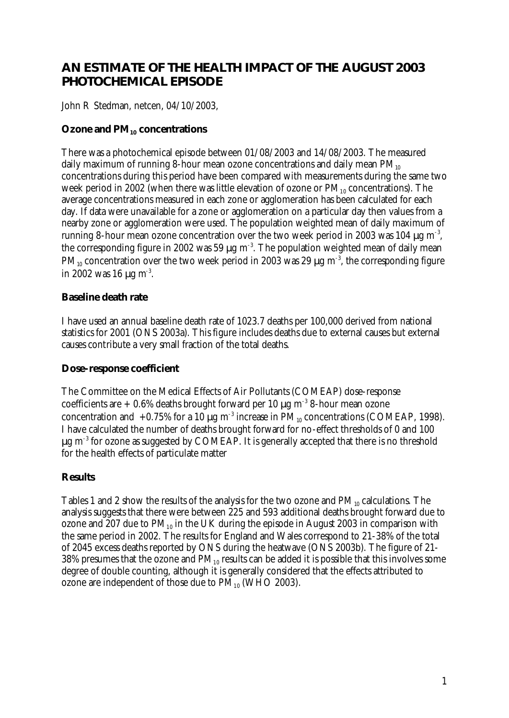# **AN ESTIMATE OF THE HEALTH IMPACT OF THE AUGUST 2003 PHOTOCHEMICAL EPISODE**

John R Stedman, netcen, 04/10/2003,

## **Ozone and PM10 concentrations**

There was a photochemical episode between 01/08/2003 and 14/08/2003. The measured daily maximum of running 8-hour mean ozone concentrations and daily mean  $PM_{10}$ concentrations during this period have been compared with measurements during the same two week period in 2002 (when there was little elevation of ozone or  $PM_{10}$  concentrations). The average concentrations measured in each zone or agglomeration has been calculated for each day. If data were unavailable for a zone or agglomeration on a particular day then values from a nearby zone or agglomeration were used. The population weighted mean of daily maximum of running 8-hour mean ozone concentration over the two week period in 2003 was 104 μg m<sup>-3</sup>, the corresponding figure in 2002 was 59  $\mu$ g m<sup>-3</sup>. The population weighted mean of daily mean PM<sub>10</sub> concentration over the two week period in 2003 was 29  $\mu$ g m<sup>-3</sup>, the corresponding figure in 2002 was 16  $\mu$ g m<sup>-3</sup>.

## **Baseline death rate**

I have used an annual baseline death rate of 1023.7 deaths per 100,000 derived from national statistics for 2001 (ONS 2003a). This figure includes deaths due to external causes but external causes contribute a very small fraction of the total deaths.

#### **Dose-response coefficient**

The Committee on the Medical Effects of Air Pollutants (COMEAP) dose-response coefficients are  $+0.6\%$  deaths brought forward per 10  $\mu$ g m<sup>-3</sup> 8-hour mean ozone concentration and  $+0.75\%$  for a 10 μg m<sup>-3</sup> increase in PM<sub>10</sub> concentrations (COMEAP, 1998). I have calculated the number of deaths brought forward for no-effect thresholds of 0 and 100  $\mu$ g m<sup>-3</sup> for ozone as suggested by COMEAP. It is generally accepted that there is no threshold for the health effects of particulate matter

## **Results**

Tables 1 and 2 show the results of the analysis for the two ozone and  $PM_{10}$  calculations. The analysis suggests that there were between 225 and 593 additional deaths brought forward due to ozone and 207 due to  $PM_{10}$  in the UK during the episode in August 2003 in comparison with the same period in 2002. The results for England and Wales correspond to 21-38% of the total of 2045 excess deaths reported by ONS during the heatwave (ONS 2003b). The figure of 21- 38% presumes that the ozone and  $PM_{10}$  results can be added it is possible that this involves some degree of double counting, although it is generally considered that the effects attributed to ozone are independent of those due to  $\overline{PM}_{10}$  (WHO 2003).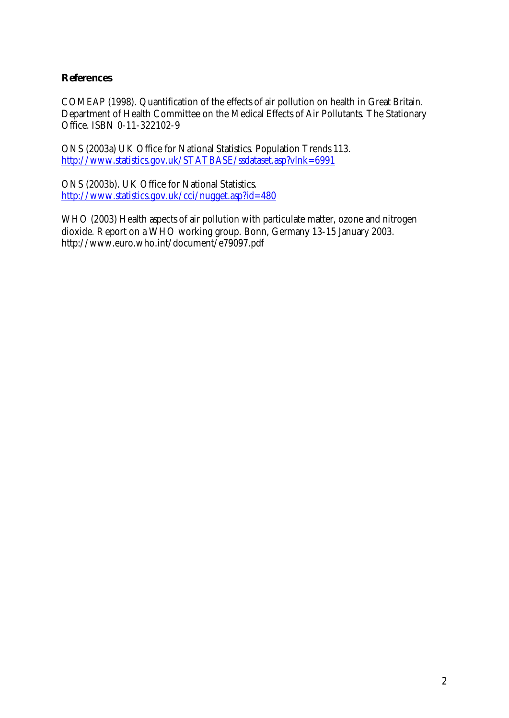## **References**

COMEAP (1998). Quantification of the effects of air pollution on health in Great Britain. Department of Health Committee on the Medical Effects of Air Pollutants. The Stationary Office. ISBN 0-11-322102-9

ONS (2003a) UK Office for National Statistics. Population Trends 113. http://www.statistics.gov.uk/STATBASE/ssdataset.asp?vlnk=6991

ONS (2003b). UK Office for National Statistics. http://www.statistics.gov.uk/cci/nugget.asp?id=480

WHO (2003) Health aspects of air pollution with particulate matter, ozone and nitrogen dioxide. Report on a WHO working group. Bonn, Germany 13-15 January 2003. http://www.euro.who.int/document/e79097.pdf